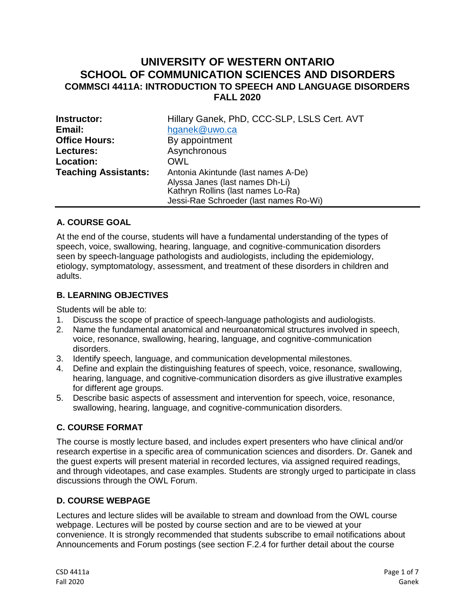# **UNIVERSITY OF WESTERN ONTARIO SCHOOL OF COMMUNICATION SCIENCES AND DISORDERS COMMSCI 4411A: INTRODUCTION TO SPEECH AND LANGUAGE DISORDERS FALL 2020**

| Instructor:                 | Hillary Ganek, PhD, CCC-SLP, LSLS Cert. AVT                                  |  |  |
|-----------------------------|------------------------------------------------------------------------------|--|--|
| Email:                      | hganek@uwo.ca                                                                |  |  |
| <b>Office Hours:</b>        | By appointment                                                               |  |  |
| Lectures:                   | Asynchronous                                                                 |  |  |
| Location:                   | OWL                                                                          |  |  |
| <b>Teaching Assistants:</b> | Antonia Akintunde (last names A-De)<br>Alyssa Janes (last names Dh-Li)       |  |  |
|                             | Kathryn Rollins (last names Lo-Ra)<br>Jessi-Rae Schroeder (last names Ro-Wi) |  |  |

## **A. COURSE GOAL**

At the end of the course, students will have a fundamental understanding of the types of speech, voice, swallowing, hearing, language, and cognitive-communication disorders seen by speech-language pathologists and audiologists, including the epidemiology, etiology, symptomatology, assessment, and treatment of these disorders in children and adults.

#### **B. LEARNING OBJECTIVES**

Students will be able to:

- 1. Discuss the scope of practice of speech-language pathologists and audiologists.
- 2. Name the fundamental anatomical and neuroanatomical structures involved in speech, voice, resonance, swallowing, hearing, language, and cognitive-communication disorders.
- 3. Identify speech, language, and communication developmental milestones.
- 4. Define and explain the distinguishing features of speech, voice, resonance, swallowing, hearing, language, and cognitive-communication disorders as give illustrative examples for different age groups.
- 5. Describe basic aspects of assessment and intervention for speech, voice, resonance, swallowing, hearing, language, and cognitive-communication disorders.

## **C. COURSE FORMAT**

The course is mostly lecture based, and includes expert presenters who have clinical and/or research expertise in a specific area of communication sciences and disorders. Dr. Ganek and the guest experts will present material in recorded lectures, via assigned required readings, and through videotapes, and case examples. Students are strongly urged to participate in class discussions through the OWL Forum.

#### **D. [COURSE WEBPAGE](https://owl.uwo.ca/portal/site/1c65edba-5efc-4032-a593-dfa57fd0b53e)**

Lectures and lecture slides will be available to stream and download from the OWL course webpage. Lectures will be posted by course section and are to be viewed at your convenience. It is strongly recommended that students subscribe to email notifications about Announcements and Forum postings (see section F.2.4 for further detail about the course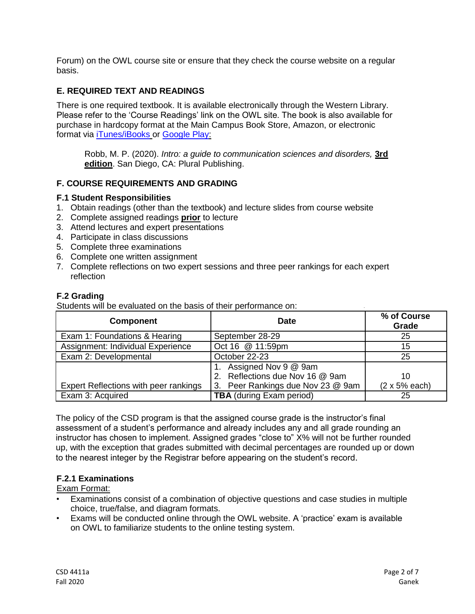Forum) on the OWL course site or ensure that they check the course website on a regular basis.

## **E. REQUIRED TEXT AND READINGS**

There is one required textbook. It is available electronically through the Western Library. Please refer to the 'Course Readings' link on the OWL site. The book is also available for purchase in hardcopy format at the Main Campus Book Store, Amazon, or electronic format via [iTunes/iBooks](https://itunes.apple.com/us/book/id1253239773) or [Google Play:](https://play.google.com/store/books/details?id=VlkpDwAAQBAJ)

Robb, M. P. (2020). *Intro: a guide to communication sciences and disorders,* **3rd edition**. San Diego, CA: Plural Publishing.

#### **F. COURSE REQUIREMENTS AND GRADING**

#### **F.1 Student Responsibilities**

- 1. Obtain readings (other than the textbook) and lecture slides from course website
- 2. Complete assigned readings **prior** to lecture
- 3. Attend lectures and expert presentations
- 4. Participate in class discussions
- 5. Complete three examinations
- 6. Complete one written assignment
- 7. Complete reflections on two expert sessions and three peer rankings for each expert reflection

#### **F.2 Grading**

Students will be evaluated on the basis of their performance on:

| <b>Component</b>                      | <b>Date</b>                                             | % of Course<br>Grade  |
|---------------------------------------|---------------------------------------------------------|-----------------------|
| Exam 1: Foundations & Hearing         | September 28-29                                         | 25                    |
| Assignment: Individual Experience     | Oct 16 @ 11:59pm                                        | 15                    |
| Exam 2: Developmental                 | October 22-23                                           | 25                    |
|                                       | Assigned Nov 9 @ 9am<br>2. Reflections due Nov 16 @ 9am | 10                    |
| Expert Reflections with peer rankings | 3. Peer Rankings due Nov 23 @ 9am                       | $(2 \times 5\%$ each) |
| Exam 3: Acquired                      | <b>TBA</b> (during Exam period)                         | 25                    |

The policy of the CSD program is that the assigned course grade is the instructor's final assessment of a student's performance and already includes any and all grade rounding an instructor has chosen to implement. Assigned grades "close to" X% will not be further rounded up, with the exception that grades submitted with decimal percentages are rounded up or down to the nearest integer by the Registrar before appearing on the student's record.

#### **F.2.1 Examinations**

Exam Format:

- Examinations consist of a combination of objective questions and case studies in multiple choice, true/false, and diagram formats.
- Exams will be conducted online through the OWL website. A 'practice' exam is available on OWL to familiarize students to the online testing system.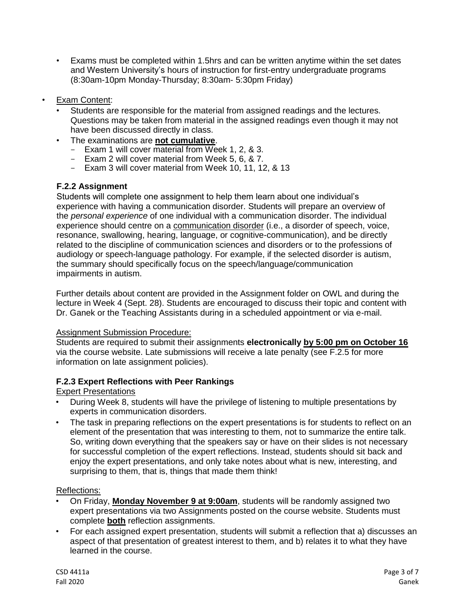- Exams must be completed within 1.5hrs and can be written anytime within the set dates and Western University's hours of instruction for first-entry undergraduate programs (8:30am-10pm Monday-Thursday; 8:30am- 5:30pm Friday)
- Exam Content:
	- Students are responsible for the material from assigned readings and the lectures. Questions may be taken from material in the assigned readings even though it may not have been discussed directly in class.
	- The examinations are **not cumulative**.
		- Exam 1 will cover material from Week 1, 2, & 3.
		- Exam 2 will cover material from Week 5, 6, & 7.
		- Exam 3 will cover material from Week 10, 11, 12, & 13

## **F.2.2 Assignment**

Students will complete one assignment to help them learn about one individual's experience with having a communication disorder. Students will prepare an overview of the *personal experience* of one individual with a communication disorder. The individual experience should centre on a communication disorder (i.e., a disorder of speech, voice, resonance, swallowing, hearing, language, or cognitive-communication), and be directly related to the discipline of communication sciences and disorders or to the professions of audiology or speech-language pathology. For example, if the selected disorder is autism, the summary should specifically focus on the speech/language/communication impairments in autism.

Further details about content are provided in the Assignment folder on OWL and during the lecture in Week 4 (Sept. 28). Students are encouraged to discuss their topic and content with Dr. Ganek or the Teaching Assistants during in a scheduled appointment or via e-mail.

## Assignment Submission Procedure:

Students are required to submit their assignments **electronically by 5:00 pm on October 16** via the course website. Late submissions will receive a late penalty (see F.2.5 for more information on late assignment policies).

## **F.2.3 Expert Reflections with Peer Rankings**

## Expert Presentations

- During Week 8, students will have the privilege of listening to multiple presentations by experts in communication disorders.
- The task in preparing reflections on the expert presentations is for students to reflect on an element of the presentation that was interesting to them, not to summarize the entire talk. So, writing down everything that the speakers say or have on their slides is not necessary for successful completion of the expert reflections. Instead, students should sit back and enjoy the expert presentations, and only take notes about what is new, interesting, and surprising to them, that is, things that made them think!

## Reflections:

- On Friday, **Monday November 9 at 9:00am**, students will be randomly assigned two expert presentations via two Assignments posted on the course website. Students must complete **both** reflection assignments.
- For each assigned expert presentation, students will submit a reflection that a) discusses an aspect of that presentation of greatest interest to them, and b) relates it to what they have learned in the course.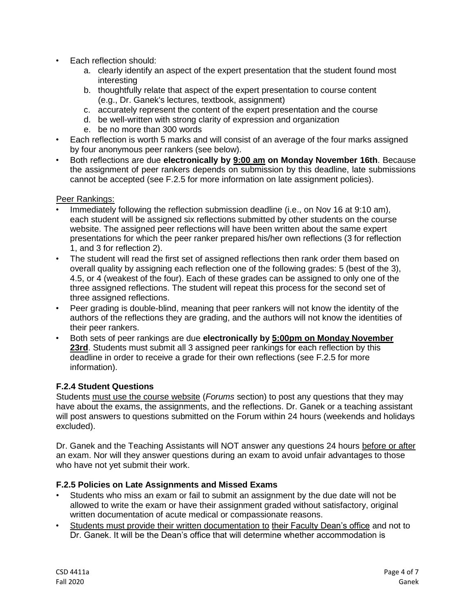- Each reflection should:
	- a. clearly identify an aspect of the expert presentation that the student found most interesting
	- b. thoughtfully relate that aspect of the expert presentation to course content (e.g., Dr. Ganek's lectures, textbook, assignment)
	- c. accurately represent the content of the expert presentation and the course
	- d. be well-written with strong clarity of expression and organization
	- e. be no more than 300 words
- Each reflection is worth 5 marks and will consist of an average of the four marks assigned by four anonymous peer rankers (see below).
- Both reflections are due **electronically by 9:00 am on Monday November 16th**. Because the assignment of peer rankers depends on submission by this deadline, late submissions cannot be accepted (see F.2.5 for more information on late assignment policies).

#### Peer Rankings:

- Immediately following the reflection submission deadline (i.e., on Nov 16 at 9:10 am), each student will be assigned six reflections submitted by other students on the course website. The assigned peer reflections will have been written about the same expert presentations for which the peer ranker prepared his/her own reflections (3 for reflection 1, and 3 for reflection 2).
- The student will read the first set of assigned reflections then rank order them based on overall quality by assigning each reflection one of the following grades: 5 (best of the 3), 4.5, or 4 (weakest of the four). Each of these grades can be assigned to only one of the three assigned reflections. The student will repeat this process for the second set of three assigned reflections.
- Peer grading is double-blind, meaning that peer rankers will not know the identity of the authors of the reflections they are grading, and the authors will not know the identities of their peer rankers.
- Both sets of peer rankings are due **electronically by 5:00pm on Monday November**  23rd. Students must submit all 3 assigned peer rankings for each reflection by this deadline in order to receive a grade for their own reflections (see F.2.5 for more information).

#### **F.2.4 Student Questions**

Students must use the course website (*Forums* section) to post any questions that they may have about the exams, the assignments, and the reflections. Dr. Ganek or a teaching assistant will post answers to questions submitted on the Forum within 24 hours (weekends and holidays excluded).

Dr. Ganek and the Teaching Assistants will NOT answer any questions 24 hours before or after an exam. Nor will they answer questions during an exam to avoid unfair advantages to those who have not yet submit their work.

#### **F.2.5 Policies on Late Assignments and Missed Exams**

- Students who miss an exam or fail to submit an assignment by the due date will not be allowed to write the exam or have their assignment graded without satisfactory, original written documentation of acute medical or compassionate reasons.
- Students must provide their written documentation to their Faculty Dean's office and not to Dr. Ganek. It will be the Dean's office that will determine whether accommodation is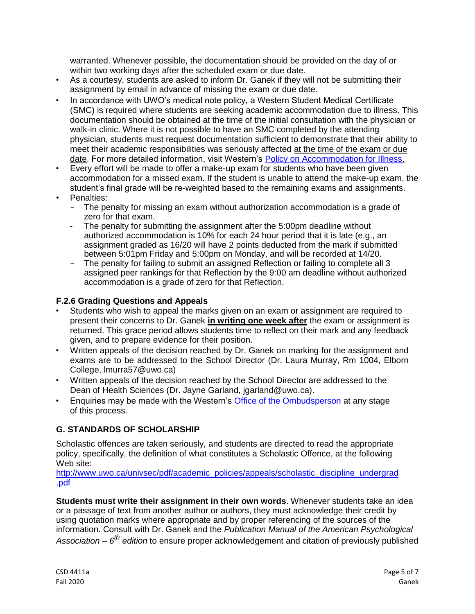warranted. Whenever possible, the documentation should be provided on the day of or within two working days after the scheduled exam or due date.

- As a courtesy, students are asked to inform Dr. Ganek if they will not be submitting their assignment by email in advance of missing the exam or due date.
- In accordance with UWO's medical note policy, a Western Student Medical Certificate (SMC) is required where students are seeking academic accommodation due to illness. This documentation should be obtained at the time of the initial consultation with the physician or walk-in clinic. Where it is not possible to have an SMC completed by the attending physician, students must request documentation sufficient to demonstrate that their ability to meet their academic responsibilities was seriously affected at the time of the exam or due date. For more detailed information, visit Western's [Policy on Accommodation for Illness.](http://www.uwo.ca/univsec/pdf/academic_policies/appeals/accommodation_illness.pdf)
- Every effort will be made to offer a make-up exam for students who have been given accommodation for a missed exam. If the student is unable to attend the make-up exam, the student's final grade will be re-weighted based to the remaining exams and assignments.
- Penalties:
	- The penalty for missing an exam without authorization accommodation is a grade of zero for that exam.
	- The penalty for submitting the assignment after the 5:00pm deadline without authorized accommodation is 10% for each 24 hour period that it is late (e.g., an assignment graded as 16/20 will have 2 points deducted from the mark if submitted between 5:01pm Friday and 5:00pm on Monday, and will be recorded at 14/20.
	- The penalty for failing to submit an assigned Reflection or failing to complete all 3 assigned peer rankings for that Reflection by the 9:00 am deadline without authorized accommodation is a grade of zero for that Reflection.

## **F.2.6 Grading Questions and Appeals**

- Students who wish to appeal the marks given on an exam or assignment are required to present their concerns to Dr. Ganek **in writing one week after** the exam or assignment is returned. This grace period allows students time to reflect on their mark and any feedback given, and to prepare evidence for their position.
- Written appeals of the decision reached by Dr. Ganek on marking for the assignment and exams are to be addressed to the School Director (Dr. Laura Murray, Rm 1004, Elborn College, lmurra57@uwo.ca)
- Written appeals of the decision reached by the School Director are addressed to the Dean of Health Sciences (Dr. Jayne Garland, jgarland@uwo.ca).
- Enquiries may be made with the Western's [Office of the Ombudsperson](http://www.uwo.ca/ombuds/) at any stage of this process.

#### **G. STANDARDS OF SCHOLARSHIP**

Scholastic offences are taken seriously, and students are directed to read the appropriate policy, specifically, the definition of what constitutes a Scholastic Offence, at the following Web site:

[http://www.uwo.ca/univsec/pdf/academic\\_policies/appeals/scholastic\\_discipline\\_undergrad](http://www.uwo.ca/univsec/pdf/academic_policies/appeals/scholastic_discipline_undergrad.pdf) [.pdf](http://www.uwo.ca/univsec/pdf/academic_policies/appeals/scholastic_discipline_undergrad.pdf)

**Students must write their assignment in their own words**. Whenever students take an idea or a passage of text from another author or authors, they must acknowledge their credit by using quotation marks where appropriate and by proper referencing of the sources of the information. Consult with Dr. Ganek and the *Publication Manual of the American Psychological Association – 6 th edition* to ensure proper acknowledgement and citation of previously published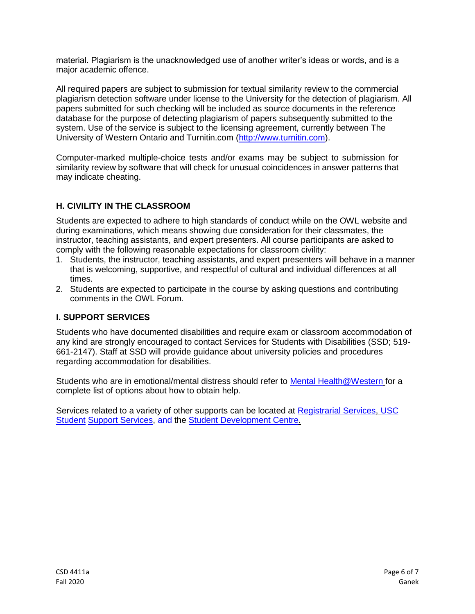material. Plagiarism is the unacknowledged use of another writer's ideas or words, and is a major academic offence.

All required papers are subject to submission for textual similarity review to the commercial plagiarism detection software under license to the University for the detection of plagiarism. All papers submitted for such checking will be included as source documents in the reference database for the purpose of detecting plagiarism of papers subsequently submitted to the system. Use of the service is subject to the licensing agreement, currently between The University of Western Ontario and Turnitin.com [\(http://www.turnitin.com\)](http://www.turnitin.com/).

Computer-marked multiple-choice tests and/or exams may be subject to submission for similarity review by software that will check for unusual coincidences in answer patterns that may indicate cheating.

## **H. CIVILITY IN THE CLASSROOM**

Students are expected to adhere to high standards of conduct while on the OWL website and during examinations, which means showing due consideration for their classmates, the instructor, teaching assistants, and expert presenters. All course participants are asked to comply with the following reasonable expectations for classroom civility:

- 1. Students, the instructor, teaching assistants, and expert presenters will behave in a manner that is welcoming, supportive, and respectful of cultural and individual differences at all times.
- 2. Students are expected to participate in the course by asking questions and contributing comments in the OWL Forum.

#### **I. SUPPORT SERVICES**

Students who have documented disabilities and require exam or classroom accommodation of any kind are strongly encouraged to contact Services for Students with Disabilities (SSD; 519- 661-2147). Staff at SSD will provide guidance about university policies and procedures regarding accommodation for disabilities.

Students who are in emotional/mental distress should refer to [Mental Health@Western](http://www.uwo.ca/uwocom/mentalhealth) for a complete list of options about how to obtain help.

Services related to a variety of other supports can be located at [Registrarial Services, USC](http://www.registrar.uwo.ca/)  [Student](http://westernusc.ca/student-support/) [Support Services, a](http://westernusc.ca/student-support/)nd the [Student Development Centre.](http://www.sdc.uwo.ca/)